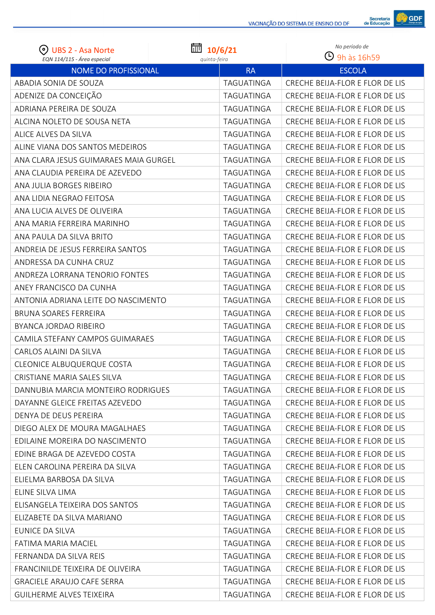

| $\odot$<br><b>UBS 2 - Asa Norte</b>   | 圙<br>10/6/21      | No período de                   |
|---------------------------------------|-------------------|---------------------------------|
| EQN 114/115 - Área especial           | quinta-feira      | $\Theta$ 9h às 16h59            |
| <b>NOME DO PROFISSIONAL</b>           | <b>RA</b>         | <b>ESCOLA</b>                   |
| ABADIA SONIA DE SOUZA                 | TAGUATINGA        | CRECHE BEIJA-FLOR E FLOR DE LIS |
| ADENIZE DA CONCEIÇÃO                  | <b>TAGUATINGA</b> | CRECHE BEIJA-FLOR E FLOR DE LIS |
| ADRIANA PEREIRA DE SOUZA              | TAGUATINGA        | CRECHE BEIJA-FLOR E FLOR DE LIS |
| ALCINA NOLETO DE SOUSA NETA           | TAGUATINGA        | CRECHE BEIJA-FLOR E FLOR DE LIS |
| ALICE ALVES DA SILVA                  | <b>TAGUATINGA</b> | CRECHE BEIJA-FLOR E FLOR DE LIS |
| ALINE VIANA DOS SANTOS MEDEIROS       | TAGUATINGA        | CRECHE BEIJA-FLOR E FLOR DE LIS |
| ANA CLARA JESUS GUIMARAES MAIA GURGEL | TAGUATINGA        | CRECHE BEIJA-FLOR E FLOR DE LIS |
| ANA CLAUDIA PEREIRA DE AZEVEDO        | TAGUATINGA        | CRECHE BEIJA-FLOR E FLOR DE LIS |
| ANA JULIA BORGES RIBEIRO              | TAGUATINGA        | CRECHE BEIJA-FLOR E FLOR DE LIS |
| ANA LIDIA NEGRAO FEITOSA              | TAGUATINGA        | CRECHE BEIJA-FLOR E FLOR DE LIS |
| ANA LUCIA ALVES DE OLIVEIRA           | TAGUATINGA        | CRECHE BEIJA-FLOR E FLOR DE LIS |
| ANA MARIA FERREIRA MARINHO            | TAGUATINGA        | CRECHE BEIJA-FLOR E FLOR DE LIS |
| ANA PAULA DA SILVA BRITO              | TAGUATINGA        | CRECHE BEIJA-FLOR E FLOR DE LIS |
| ANDREIA DE JESUS FERREIRA SANTOS      | TAGUATINGA        | CRECHE BEIJA-FLOR E FLOR DE LIS |
| ANDRESSA DA CUNHA CRUZ                | TAGUATINGA        | CRECHE BEIJA-FLOR E FLOR DE LIS |
| ANDREZA LORRANA TENORIO FONTES        | TAGUATINGA        | CRECHE BEIJA-FLOR E FLOR DE LIS |
| ANEY FRANCISCO DA CUNHA               | TAGUATINGA        | CRECHE BEIJA-FLOR E FLOR DE LIS |
| ANTONIA ADRIANA LEITE DO NASCIMENTO   | TAGUATINGA        | CRECHE BEIJA-FLOR E FLOR DE LIS |
| <b>BRUNA SOARES FERREIRA</b>          | TAGUATINGA        | CRECHE BEIJA-FLOR E FLOR DE LIS |
| BYANCA JORDAO RIBEIRO                 | <b>TAGUATINGA</b> | CRECHE BEIJA-FLOR E FLOR DE LIS |
| CAMILA STEFANY CAMPOS GUIMARAES       | TAGUATINGA        | CRECHE BEIJA-FLOR E FLOR DE LIS |
| CARLOS ALAINI DA SILVA                | TAGUATINGA        | CRECHE BEIJA-FLOR E FLOR DE LIS |
| <b>CLEONICE ALBUQUERQUE COSTA</b>     | TAGUATINGA        | CRECHE BEIJA-FLOR E FLOR DE LIS |
| CRISTIANE MARIA SALES SILVA           | TAGUATINGA        | CRECHE BEIJA-FLOR E FLOR DE LIS |
| DANNUBIA MARCIA MONTEIRO RODRIGUES    | TAGUATINGA        | CRECHE BEIJA-FLOR E FLOR DE LIS |
| DAYANNE GLEICE FREITAS AZEVEDO        | TAGUATINGA        | CRECHE BEIJA-FLOR E FLOR DE LIS |
| DENYA DE DEUS PEREIRA                 | TAGUATINGA        | CRECHE BEIJA-FLOR E FLOR DE LIS |
| DIEGO ALEX DE MOURA MAGALHAES         | TAGUATINGA        | CRECHE BEIJA-FLOR E FLOR DE LIS |
| EDILAINE MOREIRA DO NASCIMENTO        | TAGUATINGA        | CRECHE BEIJA-FLOR E FLOR DE LIS |
| EDINE BRAGA DE AZEVEDO COSTA          | TAGUATINGA        | CRECHE BEIJA-FLOR E FLOR DE LIS |
| ELEN CAROLINA PEREIRA DA SILVA        | TAGUATINGA        | CRECHE BEIJA-FLOR E FLOR DE LIS |
| ELIELMA BARBOSA DA SILVA              | TAGUATINGA        | CRECHE BEIJA-FLOR E FLOR DE LIS |
| ELINE SILVA LIMA                      | TAGUATINGA        | CRECHE BEIJA-FLOR E FLOR DE LIS |
| ELISANGELA TEIXEIRA DOS SANTOS        | TAGUATINGA        | CRECHE BEIJA-FLOR E FLOR DE LIS |
| ELIZABETE DA SILVA MARIANO            | TAGUATINGA        | CRECHE BEIJA-FLOR E FLOR DE LIS |
| EUNICE DA SILVA                       | TAGUATINGA        | CRECHE BEIJA-FLOR E FLOR DE LIS |
| FATIMA MARIA MACIEL                   | TAGUATINGA        | CRECHE BEIJA-FLOR E FLOR DE LIS |
| FERNANDA DA SILVA REIS                | TAGUATINGA        | CRECHE BEIJA-FLOR E FLOR DE LIS |
| FRANCINILDE TEIXEIRA DE OLIVEIRA      | TAGUATINGA        | CRECHE BEIJA-FLOR E FLOR DE LIS |
| <b>GRACIELE ARAUJO CAFE SERRA</b>     | TAGUATINGA        | CRECHE BEIJA-FLOR E FLOR DE LIS |
| <b>GUILHERME ALVES TEIXEIRA</b>       | TAGUATINGA        | CRECHE BEIJA-FLOR E FLOR DE LIS |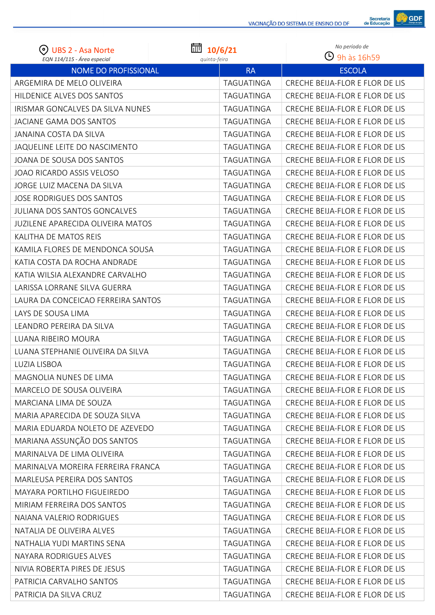

| (၀)<br><b>UBS 2 - Asa Norte</b>                            | 扁<br>10/6/21              | No período de<br>$\Theta$ 9h às 16h59 |
|------------------------------------------------------------|---------------------------|---------------------------------------|
| EQN 114/115 - Área especial<br><b>NOME DO PROFISSIONAL</b> | quinta-feira<br><b>RA</b> | <b>ESCOLA</b>                         |
| ARGEMIRA DE MELO OLIVEIRA                                  | TAGUATINGA                | CRECHE BEIJA-FLOR E FLOR DE LIS       |
| HILDENICE ALVES DOS SANTOS                                 | TAGUATINGA                | CRECHE BEIJA-FLOR E FLOR DE LIS       |
| IRISMAR GONCALVES DA SILVA NUNES                           | TAGUATINGA                | CRECHE BEIJA-FLOR E FLOR DE LIS       |
| JACIANE GAMA DOS SANTOS                                    | TAGUATINGA                | CRECHE BEIJA-FLOR E FLOR DE LIS       |
| <b>JANAINA COSTA DA SILVA</b>                              | <b>TAGUATINGA</b>         | CRECHE BEIJA-FLOR E FLOR DE LIS       |
| JAQUELINE LEITE DO NASCIMENTO                              | <b>TAGUATINGA</b>         | CRECHE BEIJA-FLOR E FLOR DE LIS       |
| JOANA DE SOUSA DOS SANTOS                                  | TAGUATINGA                | CRECHE BEIJA-FLOR E FLOR DE LIS       |
| <b>JOAO RICARDO ASSIS VELOSO</b>                           | TAGUATINGA                | CRECHE BEIJA-FLOR E FLOR DE LIS       |
| JORGE LUIZ MACENA DA SILVA                                 | TAGUATINGA                | CRECHE BEIJA-FLOR E FLOR DE LIS       |
| JOSE RODRIGUES DOS SANTOS                                  | TAGUATINGA                | CRECHE BEIJA-FLOR E FLOR DE LIS       |
| <b>JULIANA DOS SANTOS GONCALVES</b>                        | <b>TAGUATINGA</b>         | CRECHE BEIJA-FLOR E FLOR DE LIS       |
| <b>JUZILENE APARECIDA OLIVEIRA MATOS</b>                   | TAGUATINGA                | CRECHE BEIJA-FLOR E FLOR DE LIS       |
| KALITHA DE MATOS REIS                                      | <b>TAGUATINGA</b>         | CRECHE BEIJA-FLOR E FLOR DE LIS       |
| KAMILA FLORES DE MENDONCA SOUSA                            | TAGUATINGA                | CRECHE BEIJA-FLOR E FLOR DE LIS       |
| KATIA COSTA DA ROCHA ANDRADE                               | TAGUATINGA                | CRECHE BEIJA-FLOR E FLOR DE LIS       |
| KATIA WILSIA ALEXANDRE CARVALHO                            | TAGUATINGA                | CRECHE BEIJA-FLOR E FLOR DE LIS       |
| LARISSA LORRANE SILVA GUERRA                               | TAGUATINGA                | CRECHE BEIJA-FLOR E FLOR DE LIS       |
| LAURA DA CONCEICAO FERREIRA SANTOS                         | TAGUATINGA                | CRECHE BEIJA-FLOR E FLOR DE LIS       |
| LAYS DE SOUSA LIMA                                         | TAGUATINGA                | CRECHE BEIJA-FLOR E FLOR DE LIS       |
| LEANDRO PEREIRA DA SILVA                                   | TAGUATINGA                | CRECHE BEIJA-FLOR E FLOR DE LIS       |
| LUANA RIBEIRO MOURA                                        | TAGUATINGA                | CRECHE BEIJA-FLOR E FLOR DE LIS       |
| LUANA STEPHANIE OLIVEIRA DA SILVA                          | TAGUATINGA                | CRECHE BEIJA-FLOR E FLOR DE LIS       |
| LUZIA LISBOA                                               | TAGUATINGA                | CRECHE BEIJA-FLOR E FLOR DE LIS       |
| MAGNOLIA NUNES DE LIMA                                     | TAGUATINGA                | CRECHE BEIJA-FLOR E FLOR DE LIS       |
| MARCELO DE SOUSA OLIVEIRA                                  | TAGUATINGA                | CRECHE BEIJA-FLOR E FLOR DE LIS       |
| MARCIANA LIMA DE SOUZA                                     | TAGUATINGA                | CRECHE BEIJA-FLOR E FLOR DE LIS       |
| MARIA APARECIDA DE SOUZA SILVA                             | TAGUATINGA                | CRECHE BEIJA-FLOR E FLOR DE LIS       |
| MARIA EDUARDA NOLETO DE AZEVEDO                            | TAGUATINGA                | CRECHE BEIJA-FLOR E FLOR DE LIS       |
| MARIANA ASSUNÇÃO DOS SANTOS                                | TAGUATINGA                | CRECHE BEIJA-FLOR E FLOR DE LIS       |
| MARINALVA DE LIMA OLIVEIRA                                 | TAGUATINGA                | CRECHE BEIJA-FLOR E FLOR DE LIS       |
| MARINALVA MOREIRA FERREIRA FRANCA                          | TAGUATINGA                | CRECHE BEIJA-FLOR E FLOR DE LIS       |
| MARLEUSA PEREIRA DOS SANTOS                                | TAGUATINGA                | CRECHE BEIJA-FLOR E FLOR DE LIS       |
| MAYARA PORTILHO FIGUEIREDO                                 | TAGUATINGA                | CRECHE BEIJA-FLOR E FLOR DE LIS       |
| MIRIAM FERREIRA DOS SANTOS                                 | TAGUATINGA                | CRECHE BEIJA-FLOR E FLOR DE LIS       |
| NAIANA VALERIO RODRIGUES                                   | TAGUATINGA                | CRECHE BEIJA-FLOR E FLOR DE LIS       |
| NATALIA DE OLIVEIRA ALVES                                  | TAGUATINGA                | CRECHE BEIJA-FLOR E FLOR DE LIS       |
| NATHALIA YUDI MARTINS SENA                                 | TAGUATINGA                | CRECHE BEIJA-FLOR E FLOR DE LIS       |
| NAYARA RODRIGUES ALVES                                     | TAGUATINGA                | CRECHE BEIJA-FLOR E FLOR DE LIS       |
| NIVIA ROBERTA PIRES DE JESUS                               | TAGUATINGA                | CRECHE BEIJA-FLOR E FLOR DE LIS       |
| PATRICIA CARVALHO SANTOS                                   | TAGUATINGA                | CRECHE BEIJA-FLOR E FLOR DE LIS       |
| PATRICIA DA SILVA CRUZ                                     | TAGUATINGA                | CRECHE BEIJA-FLOR E FLOR DE LIS       |